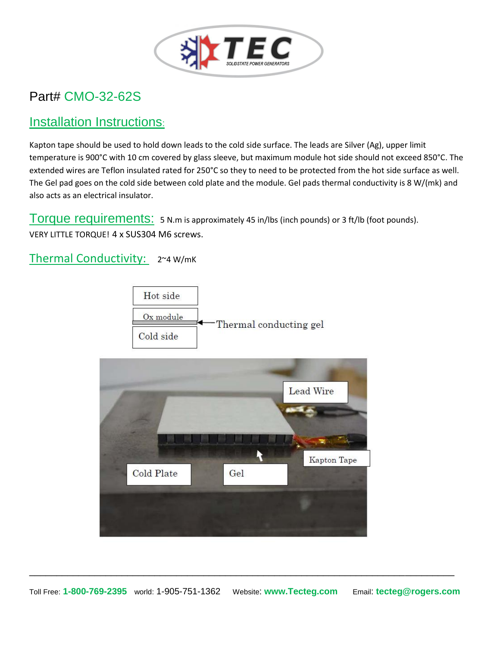

## Part# CMO-32-62S

## Installation Instructions:

Kapton tape should be used to hold down leads to the cold side surface. The leads are Silver (Ag), upper limit temperature is 900°C with 10 cm covered by glass sleeve, but maximum module hot side should not exceed 850°C. The extended wires are Teflon insulated rated for 250°C so they to need to be protected from the hot side surface as well. The Gel pad goes on the cold side between cold plate and the module. Gel pads thermal conductivity is 8 W/(mk) and also acts as an electrical insulator.

Torque requirements: 5 N.m is approximately 45 in/lbs (inch pounds) or 3 ft/lb (foot pounds). VERY LITTLE TORQUE! 4 x SUS304 M6 screws.

Thermal Conductivity: 2~4 W/mK





\_\_\_\_\_\_\_\_\_\_\_\_\_\_\_\_\_\_\_\_\_\_\_\_\_\_\_\_\_\_\_\_\_\_\_\_\_\_\_\_\_\_\_\_\_\_\_\_\_\_\_\_\_\_\_\_\_\_\_\_\_\_\_\_\_\_\_\_\_\_\_\_\_\_\_\_\_\_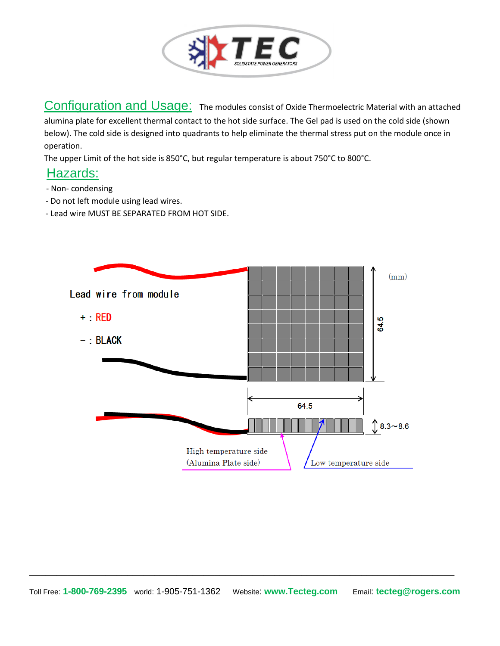

Configuration and Usage: The modules consist of Oxide Thermoelectric Material with an attached alumina plate for excellent thermal contact to the hot side surface. The Gel pad is used on the cold side (shown below). The cold side is designed into quadrants to help eliminate the thermal stress put on the module once in operation.

The upper Limit of the hot side is 850°C, but regular temperature is about 750°C to 800°C.

### Hazards:

- Non- condensing
- Do not left module using lead wires.
- Lead wire MUST BE SEPARATED FROM HOT SIDE.



\_\_\_\_\_\_\_\_\_\_\_\_\_\_\_\_\_\_\_\_\_\_\_\_\_\_\_\_\_\_\_\_\_\_\_\_\_\_\_\_\_\_\_\_\_\_\_\_\_\_\_\_\_\_\_\_\_\_\_\_\_\_\_\_\_\_\_\_\_\_\_\_\_\_\_\_\_\_